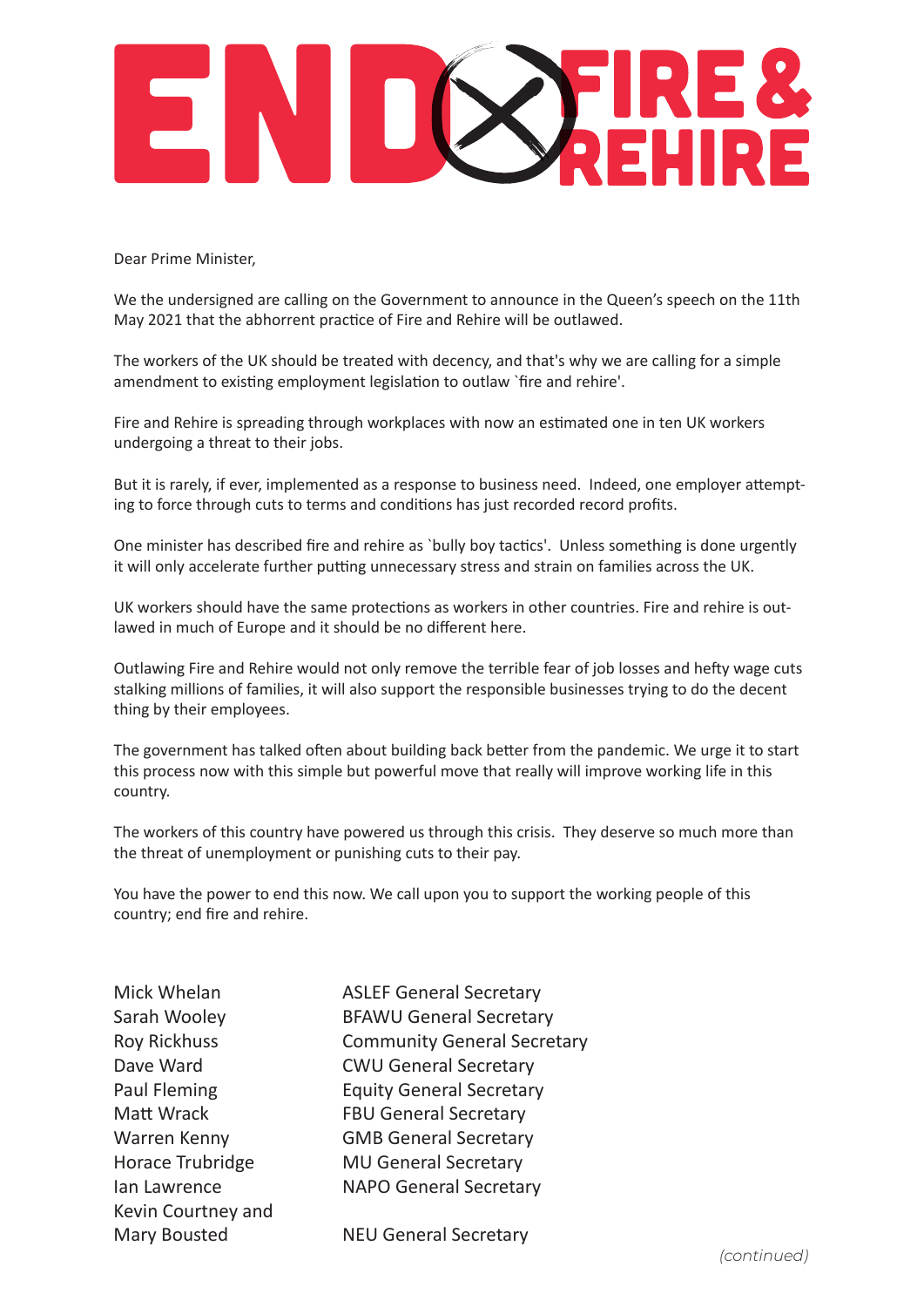

Dear Prime Minister,

We the undersigned are calling on the Government to announce in the Queen's speech on the 11th May 2021 that the abhorrent practice of Fire and Rehire will be outlawed.

The workers of the UK should be treated with decency, and that's why we are calling for a simple amendment to existing employment legislation to outlaw `fire and rehire'.

Fire and Rehire is spreading through workplaces with now an estimated one in ten UK workers undergoing a threat to their jobs.

But it is rarely, if ever, implemented as a response to business need. Indeed, one employer attempting to force through cuts to terms and conditions has just recorded record profits.

One minister has described fire and rehire as `bully boy tactics'. Unless something is done urgently it will only accelerate further putting unnecessary stress and strain on families across the UK.

UK workers should have the same protections as workers in other countries. Fire and rehire is outlawed in much of Europe and it should be no different here.

Outlawing Fire and Rehire would not only remove the terrible fear of job losses and hefty wage cuts stalking millions of families, it will also support the responsible businesses trying to do the decent thing by their employees.

The government has talked often about building back better from the pandemic. We urge it to start this process now with this simple but powerful move that really will improve working life in this country.

The workers of this country have powered us through this crisis. They deserve so much more than the threat of unemployment or punishing cuts to their pay.

You have the power to end this now. We call upon you to support the working people of this country; end fire and rehire.

| Mick Whelan         |
|---------------------|
| Sarah Wooley        |
| <b>Roy Rickhuss</b> |
| Dave Ward           |
| <b>Paul Fleming</b> |
| Matt Wrack          |
| Warren Kenny        |
| Horace Trubridge    |
| lan Lawrence        |
| Kevin Courtney and  |
| <b>Mary Bousted</b> |

**ASLEF General Secretary BFAWU General Secretary Community General Secretary CWU General Secretary Equity General Secretary FBU General Secretary GMB General Secretary MU General Secretary** NAPO General Secretary

**NEU General Secretary**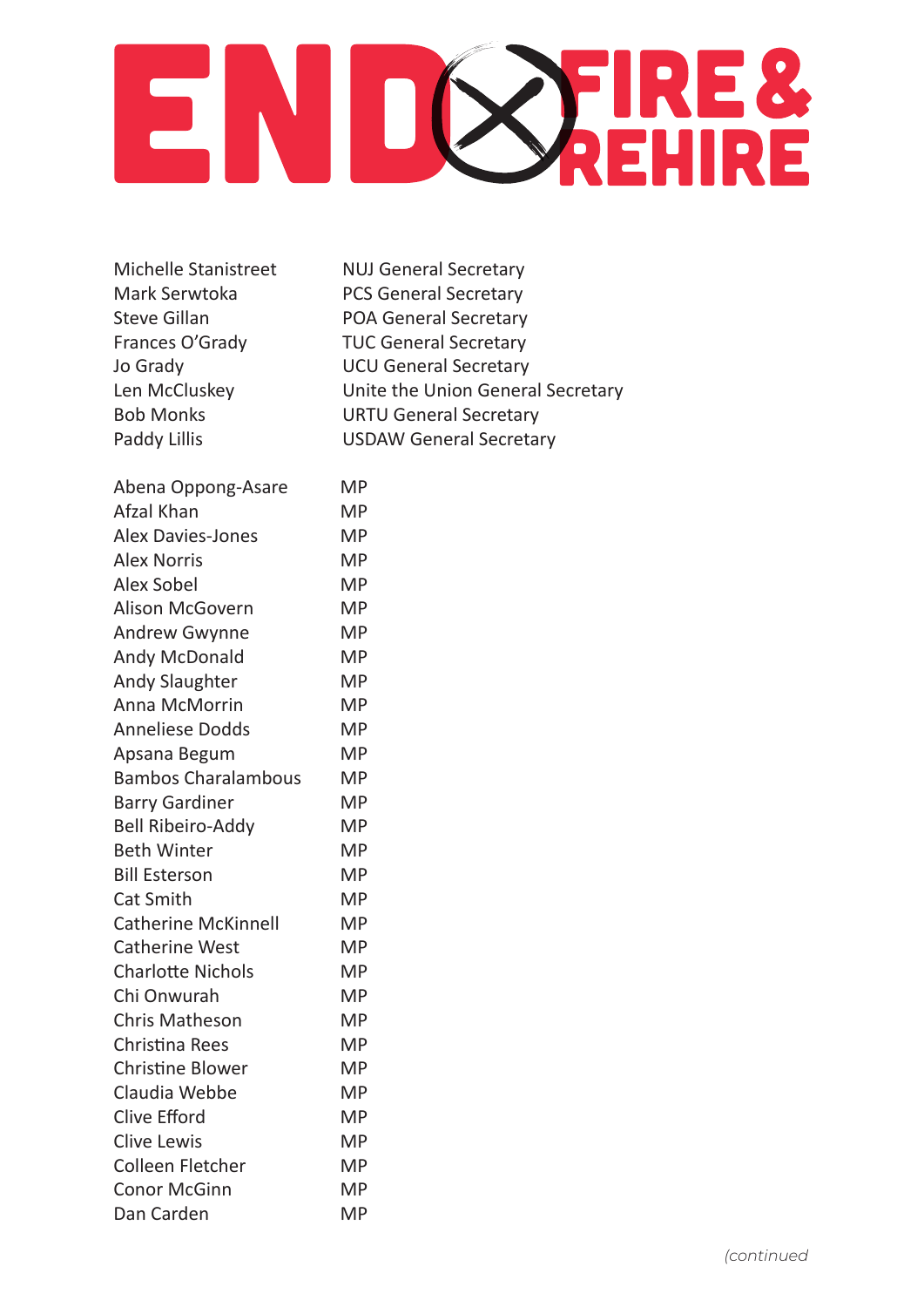

Michelle Stanistreet NUJ General Secretary

Mark Serwtoka PCS General Secretary Steve Gillan POA General Secretary Frances O'Grady TUC General Secretary Jo Grady UCU General Secretary Len McCluskey **Unite the Union General Secretary** Bob Monks URTU General Secretary Paddy Lillis **Calculary COSDAW General Secretary** 

| Abena Oppong-Asare         | ΜP        |
|----------------------------|-----------|
| Afzal Khan                 | <b>MP</b> |
| <b>Alex Davies-Jones</b>   | <b>MP</b> |
| <b>Alex Norris</b>         | <b>MP</b> |
| <b>Alex Sobel</b>          | <b>MP</b> |
| <b>Alison McGovern</b>     | <b>MP</b> |
| <b>Andrew Gwynne</b>       | <b>MP</b> |
| <b>Andy McDonald</b>       | <b>MP</b> |
| <b>Andy Slaughter</b>      | <b>MP</b> |
| <b>Anna McMorrin</b>       | <b>MP</b> |
| <b>Anneliese Dodds</b>     | <b>MP</b> |
| Apsana Begum               | <b>MP</b> |
| <b>Bambos Charalambous</b> | <b>MP</b> |
| <b>Barry Gardiner</b>      | <b>MP</b> |
| <b>Bell Ribeiro-Addy</b>   | <b>MP</b> |
| <b>Beth Winter</b>         | <b>MP</b> |
| <b>Bill Esterson</b>       | <b>MP</b> |
| <b>Cat Smith</b>           | <b>MP</b> |
| <b>Catherine McKinnell</b> | <b>MP</b> |
| <b>Catherine West</b>      | MP        |
| <b>Charlotte Nichols</b>   | <b>MP</b> |
| Chi Onwurah                | <b>MP</b> |
| <b>Chris Matheson</b>      | <b>MP</b> |
| <b>Christina Rees</b>      | <b>MP</b> |
| <b>Christine Blower</b>    | <b>MP</b> |
| Claudia Webbe              | <b>MP</b> |
| <b>Clive Efford</b>        | <b>MP</b> |
| <b>Clive Lewis</b>         | <b>MP</b> |
| <b>Colleen Fletcher</b>    | MP        |
| <b>Conor McGinn</b>        | <b>MP</b> |
| Dan Carden                 | <b>MP</b> |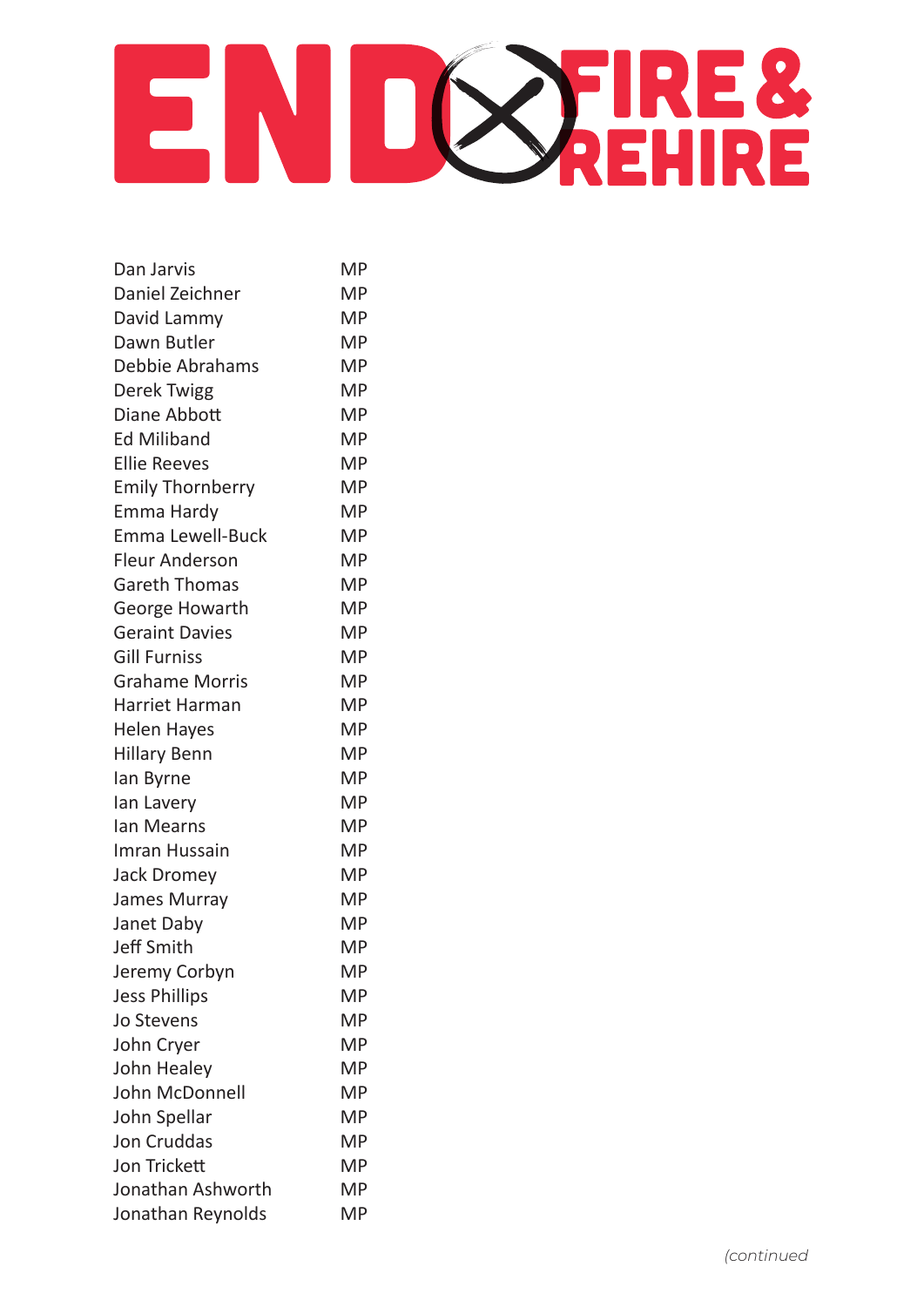

| Dan Jarvis              | <b>MP</b> |
|-------------------------|-----------|
| Daniel Zeichner         | <b>MP</b> |
| David Lammy             | <b>MP</b> |
| Dawn Butler             | <b>MP</b> |
| Debbie Abrahams         | <b>MP</b> |
| <b>Derek Twigg</b>      | <b>MP</b> |
| Diane Abbott            | <b>MP</b> |
| <b>Ed Miliband</b>      | <b>MP</b> |
| <b>Ellie Reeves</b>     | <b>MP</b> |
| <b>Emily Thornberry</b> | <b>MP</b> |
| Emma Hardy              | MP        |
| <b>Emma Lewell-Buck</b> | <b>MP</b> |
| <b>Fleur Anderson</b>   | <b>MP</b> |
| <b>Gareth Thomas</b>    | <b>MP</b> |
| George Howarth          | <b>MP</b> |
| <b>Geraint Davies</b>   | <b>MP</b> |
| <b>Gill Furniss</b>     | <b>MP</b> |
| <b>Grahame Morris</b>   | <b>MP</b> |
| <b>Harriet Harman</b>   | <b>MP</b> |
| <b>Helen Hayes</b>      | <b>MP</b> |
| <b>Hillary Benn</b>     | <b>MP</b> |
| lan Byrne               | <b>MP</b> |
| lan Lavery              | <b>MP</b> |
| Ian Mearns              | <b>MP</b> |
| Imran Hussain           | <b>MP</b> |
| Jack Dromey             | <b>MP</b> |
| James Murray            | MP        |
| Janet Daby              | <b>MP</b> |
| <b>Jeff Smith</b>       | <b>MP</b> |
| Jeremy Corbyn           | <b>MP</b> |
| <b>Jess Phillips</b>    | <b>MP</b> |
| Jo Stevens              | <b>MP</b> |
| John Cryer              | <b>MP</b> |
| John Healey             | <b>MP</b> |
| John McDonnell          | <b>MP</b> |
| John Spellar            | <b>MP</b> |
| <b>Jon Cruddas</b>      | <b>MP</b> |
| Jon Trickett            | <b>MP</b> |
| Jonathan Ashworth       | MP        |
| Jonathan Reynolds       | <b>MP</b> |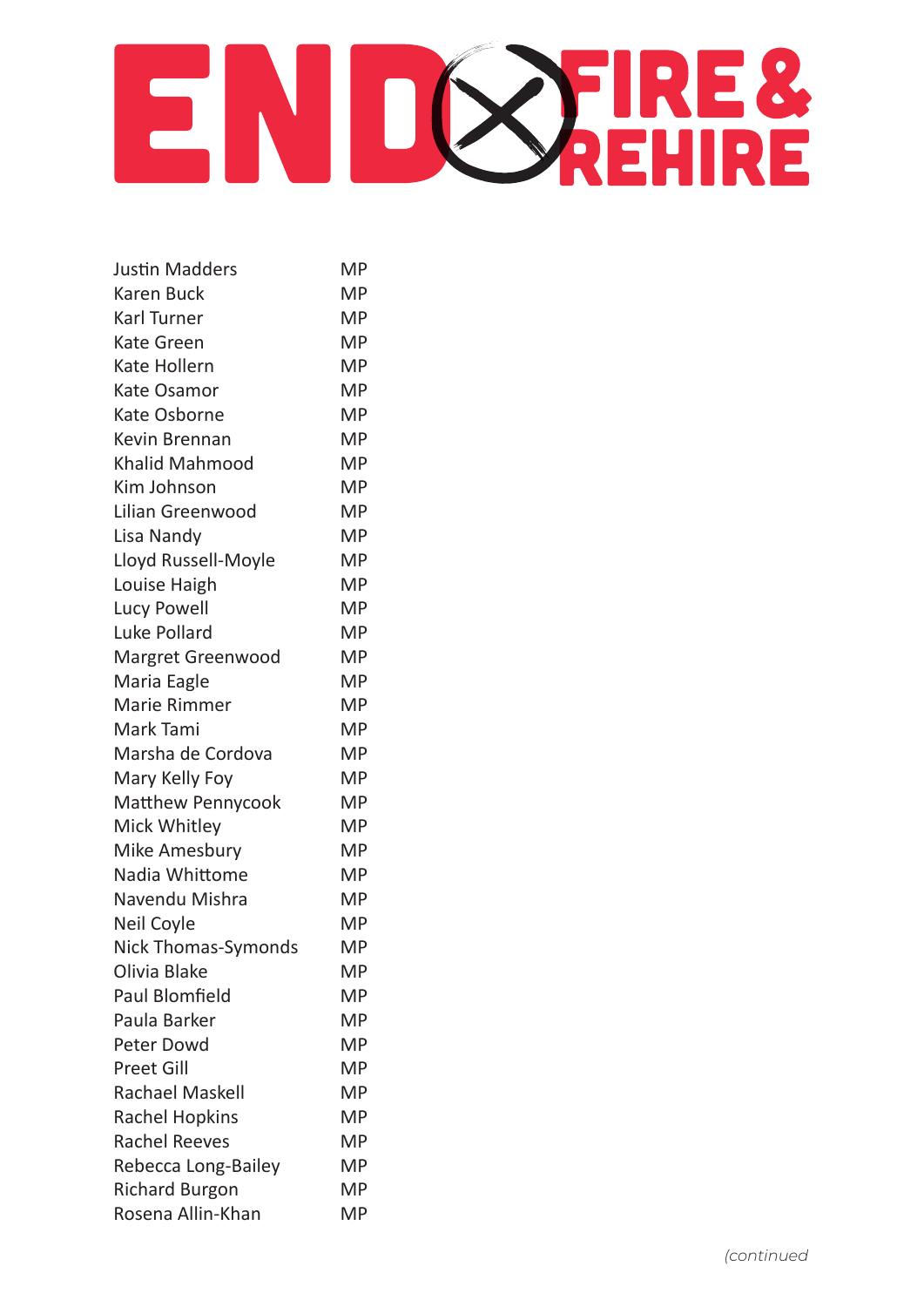

| <b>Justin Madders</b>    | MP        |
|--------------------------|-----------|
| <b>Karen Buck</b>        | <b>MP</b> |
| Karl Turner              | <b>MP</b> |
| <b>Kate Green</b>        | <b>MP</b> |
| Kate Hollern             | <b>MP</b> |
| <b>Kate Osamor</b>       | <b>MP</b> |
| Kate Osborne             | <b>MP</b> |
| Kevin Brennan            | <b>MP</b> |
| <b>Khalid Mahmood</b>    | <b>MP</b> |
| Kim Johnson              | <b>MP</b> |
| Lilian Greenwood         | <b>MP</b> |
| Lisa Nandy               | <b>MP</b> |
| Lloyd Russell-Moyle      | <b>MP</b> |
| Louise Haigh             | <b>MP</b> |
| <b>Lucy Powell</b>       | <b>MP</b> |
| Luke Pollard             | <b>MP</b> |
| <b>Margret Greenwood</b> | <b>MP</b> |
| Maria Eagle              | MP        |
| <b>Marie Rimmer</b>      | <b>MP</b> |
| Mark Tami                | <b>MP</b> |
| Marsha de Cordova        | <b>MP</b> |
| Mary Kelly Foy           | <b>MP</b> |
| <b>Matthew Pennycook</b> | <b>MP</b> |
| Mick Whitley             | MP        |
| Mike Amesbury            | <b>MP</b> |
| Nadia Whittome           | <b>MP</b> |
| Navendu Mishra           | <b>MP</b> |
| Neil Coyle               | МP        |
| Nick Thomas-Symonds      | <b>MP</b> |
| Olivia Blake             | ΜP        |
| <b>Paul Blomfield</b>    | <b>MP</b> |
| Paula Barker             | <b>MP</b> |
| Peter Dowd               | МP        |
| <b>Preet Gill</b>        | MP        |
| <b>Rachael Maskell</b>   | <b>MP</b> |
| <b>Rachel Hopkins</b>    | МP        |
| <b>Rachel Reeves</b>     | ΜP        |
| Rebecca Long-Bailey      | МP        |
| <b>Richard Burgon</b>    | МP        |
| Rosena Allin-Khan        | <b>MP</b> |